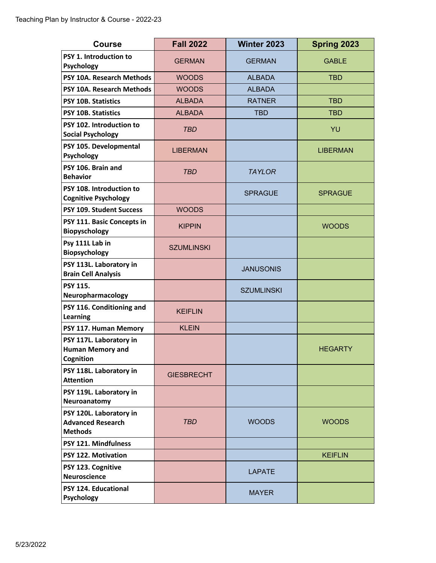| <b>Course</b>                                                         | <b>Fall 2022</b>  | Winter 2023       | Spring 2023     |
|-----------------------------------------------------------------------|-------------------|-------------------|-----------------|
| PSY 1. Introduction to<br>Psychology                                  | <b>GERMAN</b>     | <b>GERMAN</b>     | <b>GABLE</b>    |
| PSY 10A. Research Methods                                             | <b>WOODS</b>      | <b>ALBADA</b>     | <b>TBD</b>      |
| PSY 10A. Research Methods                                             | <b>WOODS</b>      | <b>ALBADA</b>     |                 |
| <b>PSY 10B. Statistics</b>                                            | <b>ALBADA</b>     | <b>RATNER</b>     | <b>TBD</b>      |
| <b>PSY 10B. Statistics</b>                                            | <b>ALBADA</b>     | <b>TBD</b>        | <b>TBD</b>      |
| PSY 102. Introduction to<br><b>Social Psychology</b>                  | <b>TBD</b>        |                   | YU              |
| PSY 105. Developmental<br>Psychology                                  | <b>LIBERMAN</b>   |                   | <b>LIBERMAN</b> |
| PSY 106. Brain and<br><b>Behavior</b>                                 | <b>TBD</b>        | <b>TAYLOR</b>     |                 |
| PSY 108. Introduction to<br><b>Cognitive Psychology</b>               |                   | <b>SPRAGUE</b>    | <b>SPRAGUE</b>  |
| PSY 109. Student Success                                              | <b>WOODS</b>      |                   |                 |
| PSY 111. Basic Concepts in<br><b>Biopyschology</b>                    | <b>KIPPIN</b>     |                   | <b>WOODS</b>    |
| Psy 111L Lab in<br>Biopsychology                                      | <b>SZUMLINSKI</b> |                   |                 |
| PSY 113L. Laboratory in<br><b>Brain Cell Analysis</b>                 |                   | <b>JANUSONIS</b>  |                 |
| <b>PSY 115.</b><br>Neuropharmacology                                  |                   | <b>SZUMLINSKI</b> |                 |
| PSY 116. Conditioning and<br>Learning                                 | <b>KEIFLIN</b>    |                   |                 |
| PSY 117. Human Memory                                                 | <b>KLEIN</b>      |                   |                 |
| PSY 117L. Laboratory in<br><b>Human Memory and</b><br>Cognition       |                   |                   | <b>HEGARTY</b>  |
| PSY 118L. Laboratory in<br><b>Attention</b>                           | <b>GIESBRECHT</b> |                   |                 |
| PSY 119L. Laboratory in<br>Neuroanatomy                               |                   |                   |                 |
| PSY 120L. Laboratory in<br><b>Advanced Research</b><br><b>Methods</b> | <b>TBD</b>        | <b>WOODS</b>      | <b>WOODS</b>    |
| PSY 121. Mindfulness                                                  |                   |                   |                 |
| <b>PSY 122. Motivation</b>                                            |                   |                   | <b>KEIFLIN</b>  |
| PSY 123. Cognitive<br><b>Neuroscience</b>                             |                   | <b>LAPATE</b>     |                 |
| <b>PSY 124. Educational</b><br><b>Psychology</b>                      |                   | <b>MAYER</b>      |                 |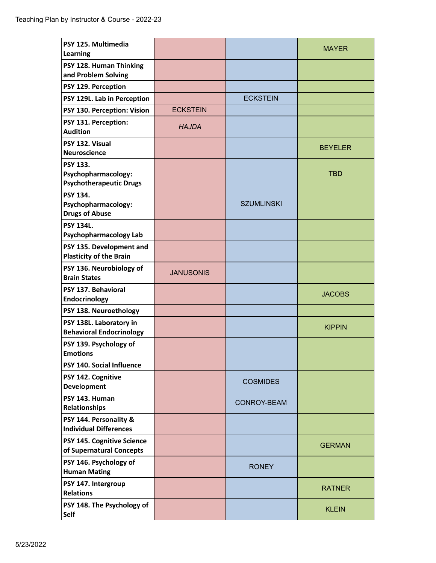| PSY 125. Multimedia<br><b>Learning</b>                                   |                  |                    | <b>MAYER</b>   |
|--------------------------------------------------------------------------|------------------|--------------------|----------------|
| PSY 128. Human Thinking<br>and Problem Solving                           |                  |                    |                |
| PSY 129. Perception                                                      |                  |                    |                |
| PSY 129L. Lab in Perception                                              |                  | <b>ECKSTEIN</b>    |                |
| PSY 130. Perception: Vision                                              | <b>ECKSTEIN</b>  |                    |                |
| PSY 131. Perception:<br><b>Audition</b>                                  | <b>HAJDA</b>     |                    |                |
| PSY 132. Visual<br><b>Neuroscience</b>                                   |                  |                    | <b>BEYELER</b> |
| <b>PSY 133.</b><br>Psychopharmacology:<br><b>Psychotherapeutic Drugs</b> |                  |                    | <b>TBD</b>     |
| <b>PSY 134.</b><br>Psychopharmacology:<br><b>Drugs of Abuse</b>          |                  | <b>SZUMLINSKI</b>  |                |
| <b>PSY 134L.</b><br><b>Psychopharmacology Lab</b>                        |                  |                    |                |
| PSY 135. Development and<br><b>Plasticity of the Brain</b>               |                  |                    |                |
| PSY 136. Neurobiology of<br><b>Brain States</b>                          | <b>JANUSONIS</b> |                    |                |
| PSY 137. Behavioral<br>Endocrinology                                     |                  |                    | <b>JACOBS</b>  |
| PSY 138. Neuroethology                                                   |                  |                    |                |
| PSY 138L. Laboratory in<br><b>Behavioral Endocrinology</b>               |                  |                    | <b>KIPPIN</b>  |
| PSY 139. Psychology of<br><b>Emotions</b>                                |                  |                    |                |
| PSY 140. Social Influence                                                |                  |                    |                |
| PSY 142. Cognitive<br>Development                                        |                  | <b>COSMIDES</b>    |                |
| PSY 143. Human<br><b>Relationships</b>                                   |                  | <b>CONROY-BEAM</b> |                |
| PSY 144. Personality &<br><b>Individual Differences</b>                  |                  |                    |                |
| PSY 145. Cognitive Science<br>of Supernatural Concepts                   |                  |                    | <b>GERMAN</b>  |
| PSY 146. Psychology of<br><b>Human Mating</b>                            |                  | <b>RONEY</b>       |                |
| PSY 147. Intergroup<br><b>Relations</b>                                  |                  |                    | <b>RATNER</b>  |
| PSY 148. The Psychology of<br>Self                                       |                  |                    | <b>KLEIN</b>   |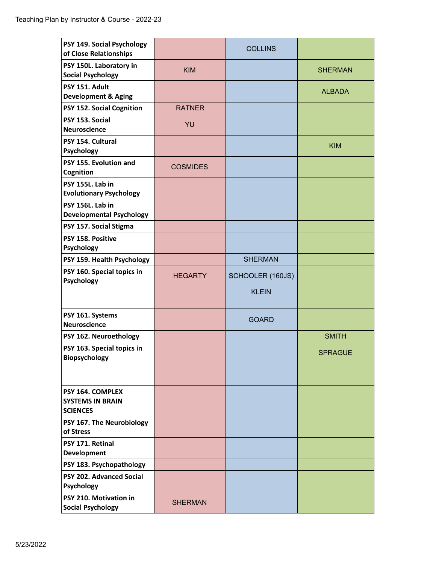| PSY 149. Social Psychology<br>of Close Relationships           |                 | <b>COLLINS</b>   |                |
|----------------------------------------------------------------|-----------------|------------------|----------------|
| PSY 150L. Laboratory in<br><b>Social Psychology</b>            | <b>KIM</b>      |                  | <b>SHERMAN</b> |
| PSY 151. Adult<br><b>Development &amp; Aging</b>               |                 |                  | <b>ALBADA</b>  |
| PSY 152. Social Cognition                                      | <b>RATNER</b>   |                  |                |
| PSY 153. Social<br><b>Neuroscience</b>                         | YU              |                  |                |
| PSY 154. Cultural<br>Psychology                                |                 |                  | <b>KIM</b>     |
| PSY 155. Evolution and<br>Cognition                            | <b>COSMIDES</b> |                  |                |
| PSY 155L. Lab in<br><b>Evolutionary Psychology</b>             |                 |                  |                |
| PSY 156L. Lab in<br><b>Developmental Psychology</b>            |                 |                  |                |
| PSY 157. Social Stigma                                         |                 |                  |                |
| PSY 158. Positive<br>Psychology                                |                 |                  |                |
| PSY 159. Health Psychology                                     |                 | <b>SHERMAN</b>   |                |
| PSY 160. Special topics in<br>Psychology                       | <b>HEGARTY</b>  | SCHOOLER (160JS) |                |
|                                                                |                 | <b>KLEIN</b>     |                |
| PSY 161. Systems<br><b>Neuroscience</b>                        |                 | <b>GOARD</b>     |                |
| PSY 162. Neuroethology                                         |                 |                  | <b>SMITH</b>   |
| PSY 163. Special topics in<br><b>Biopsychology</b>             |                 |                  | <b>SPRAGUE</b> |
| PSY 164. COMPLEX<br><b>SYSTEMS IN BRAIN</b><br><b>SCIENCES</b> |                 |                  |                |
| PSY 167. The Neurobiology<br>of Stress                         |                 |                  |                |
| PSY 171. Retinal<br>Development                                |                 |                  |                |
| PSY 183. Psychopathology                                       |                 |                  |                |
| PSY 202. Advanced Social<br>Psychology                         |                 |                  |                |
| PSY 210. Motivation in<br><b>Social Psychology</b>             | <b>SHERMAN</b>  |                  |                |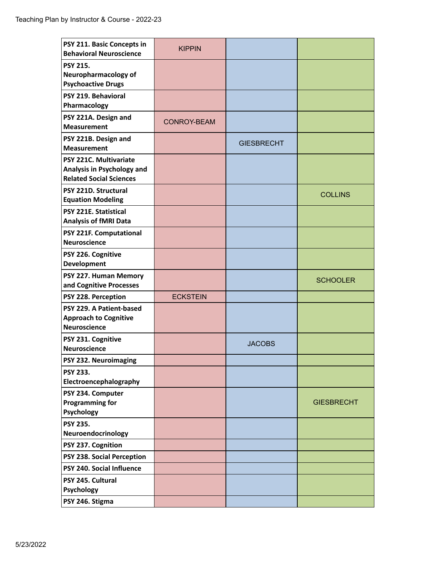| PSY 211. Basic Concepts in<br><b>Behavioral Neuroscience</b>                           | <b>KIPPIN</b>   |                   |                   |
|----------------------------------------------------------------------------------------|-----------------|-------------------|-------------------|
| <b>PSY 215.</b><br>Neuropharmacology of<br><b>Psychoactive Drugs</b>                   |                 |                   |                   |
| PSY 219. Behavioral<br>Pharmacology                                                    |                 |                   |                   |
| PSY 221A. Design and<br><b>Measurement</b>                                             | CONROY-BEAM     |                   |                   |
| PSY 221B. Design and<br><b>Measurement</b>                                             |                 | <b>GIESBRECHT</b> |                   |
| PSY 221C. Multivariate<br>Analysis in Psychology and<br><b>Related Social Sciences</b> |                 |                   |                   |
| PSY 221D. Structural<br><b>Equation Modeling</b>                                       |                 |                   | <b>COLLINS</b>    |
| <b>PSY 221E. Statistical</b><br><b>Analysis of fMRI Data</b>                           |                 |                   |                   |
| PSY 221F. Computational<br><b>Neuroscience</b>                                         |                 |                   |                   |
| PSY 226. Cognitive<br><b>Development</b>                                               |                 |                   |                   |
| PSY 227. Human Memory<br>and Cognitive Processes                                       |                 |                   | <b>SCHOOLER</b>   |
| PSY 228. Perception                                                                    | <b>ECKSTEIN</b> |                   |                   |
| PSY 229. A Patient-based<br><b>Approach to Cognitive</b><br><b>Neuroscience</b>        |                 |                   |                   |
| PSY 231. Cognitive<br><b>Neuroscience</b>                                              |                 | <b>JACOBS</b>     |                   |
| PSY 232. Neuroimaging                                                                  |                 |                   |                   |
| PSY 233.<br>Electroencephalography                                                     |                 |                   |                   |
| PSY 234. Computer<br><b>Programming for</b><br>Psychology                              |                 |                   | <b>GIESBRECHT</b> |
| <b>PSY 235.</b><br>Neuroendocrinology                                                  |                 |                   |                   |
| PSY 237. Cognition                                                                     |                 |                   |                   |
| PSY 238. Social Perception                                                             |                 |                   |                   |
| PSY 240. Social Influence                                                              |                 |                   |                   |
| PSY 245. Cultural<br><b>Psychology</b>                                                 |                 |                   |                   |
| PSY 246. Stigma                                                                        |                 |                   |                   |